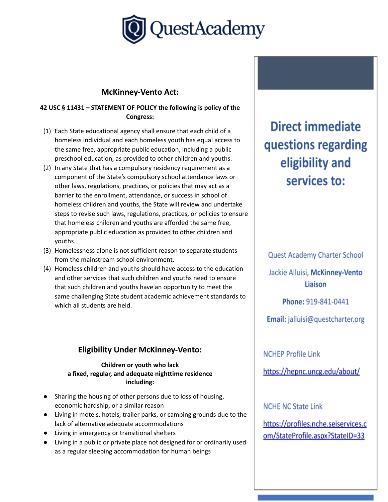

### **McKinney-Vento Act:**

#### **42 USC § 11431 – STATEMENT OF POLICY the following is policy of the Congress:**

- (1) Each State educational agency shall ensure that each child of a homeless individual and each homeless youth has equal access to the same free, appropriate public education, including a public preschool education, as provided to other children and youths.
- (2) In any State that has a compulsory residency requirement as a component of the State's compulsory school attendance laws or other laws, regulations, practices, or policies that may act as a barrier to the enrollment, attendance, or success in school of homeless children and youths, the State will review and undertake steps to revise such laws, regulations, practices, or policies to ensure that homeless children and youths are afforded the same free, appropriate public education as provided to other children and youths.
- (3) Homelessness alone is not sufficient reason to separate students from the mainstream school environment.
- (4) Homeless children and youths should have access to the education and other services that such children and youths need to ensure that such children and youths have an opportunity to meet the same challenging State student academic achievement standards to which all students are held.

## **Eligibility Under McKinney-Vento:**

#### **Children or youth who lack a fixed, regular, and adequate nighttime residence including:**

- Sharing the housing of other persons due to loss of housing, economic hardship, or a similar reason
- Living in motels, hotels, trailer parks, or camping grounds due to the lack of alternative adequate accommodations
- Living in emergency or transitional shelters
- Living in a public or private place not designed for or ordinarily used as a regular sleeping accommodation for human beings

Direct immediate questions regarding eligibility and services to:

Quest Academy Charter School

Jackie Alluisi, McKinney-Vento Liaison

Phone: 919-841-0441

Email: jalluisi@questcharter.org

**NCHEP Profile Link** 

https://hepnc.uncg.edu/about/

**NCHE NC State Link** 

https://profiles.nche.seiservices.c om/StateProfile.aspx?StateID=33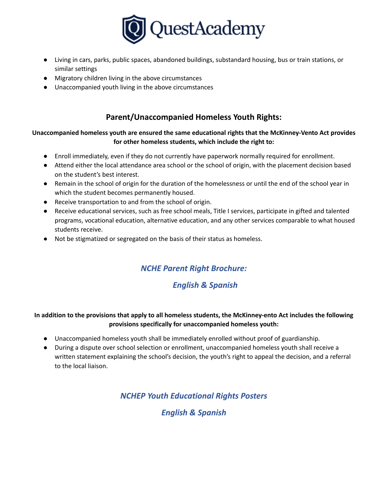

- Living in cars, parks, public spaces, abandoned buildings, substandard housing, bus or train stations, or similar settings
- Migratory children living in the above circumstances
- Unaccompanied youth living in the above circumstances

## **Parent/Unaccompanied Homeless Youth Rights:**

#### **Unaccompanied homeless youth are ensured the same educational rights that the McKinney-Vento Act provides for other homeless students, which include the right to:**

- Enroll immediately, even if they do not currently have paperwork normally required for enrollment.
- Attend either the local attendance area school or the school of origin, with the placement decision based on the student's best interest.
- Remain in the school of origin for the duration of the homelessness or until the end of the school year in which the student becomes permanently housed.
- Receive transportation to and from the school of origin.
- Receive educational services, such as free school meals, Title I services, participate in gifted and talented programs, vocational education, alternative education, and any other services comparable to what housed students receive.
- Not be stigmatized or segregated on the basis of their status as homeless.

# *NCHE Parent Right Brochure:*

## *English & Spanish*

#### In addition to the provisions that apply to all homeless students, the McKinney-ento Act includes the following **provisions specifically for unaccompanied homeless youth:**

- Unaccompanied homeless youth shall be immediately enrolled without proof of guardianship.
- During a dispute over school selection or enrollment, unaccompanied homeless youth shall receive a written statement explaining the school's decision, the youth's right to appeal the decision, and a referral to the local liaison.

# *NCHEP Youth Educational Rights Posters*

## *English & Spanish*